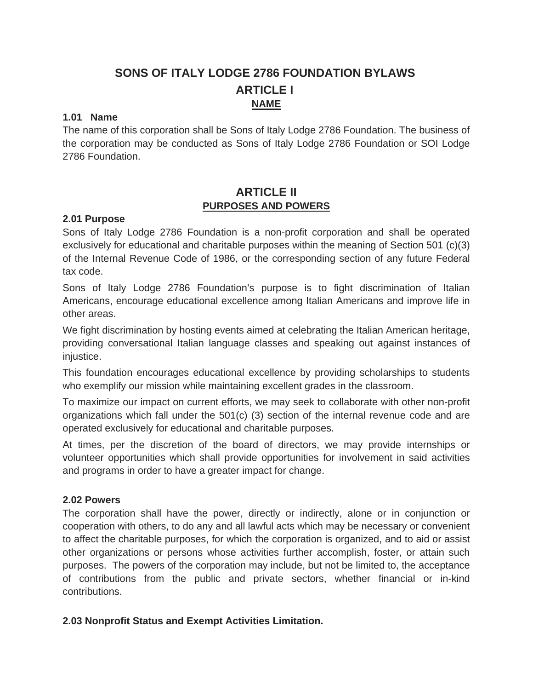# **SONS OF ITALY LODGE 2786 FOUNDATION BYLAWS ARTICLE I NAME**

## **1.01 Name**

The name of this corporation shall be Sons of Italy Lodge 2786 Foundation. The business of the corporation may be conducted as Sons of Italy Lodge 2786 Foundation or SOI Lodge 2786 Foundation.

# **ARTICLE II PURPOSES AND POWERS**

## **2.01 Purpose**

Sons of Italy Lodge 2786 Foundation is a non-profit corporation and shall be operated exclusively for educational and charitable purposes within the meaning of Section 501 (c)(3) of the Internal Revenue Code of 1986, or the corresponding section of any future Federal tax code.

Sons of Italy Lodge 2786 Foundation's purpose is to fight discrimination of Italian Americans, encourage educational excellence among Italian Americans and improve life in other areas.

We fight discrimination by hosting events aimed at celebrating the Italian American heritage, providing conversational Italian language classes and speaking out against instances of injustice.

This foundation encourages educational excellence by providing scholarships to students who exemplify our mission while maintaining excellent grades in the classroom.

To maximize our impact on current efforts, we may seek to collaborate with other non-profit organizations which fall under the  $501(c)$  (3) section of the internal revenue code and are operated exclusively for educational and charitable purposes.

At times, per the discretion of the board of directors, we may provide internships or volunteer opportunities which shall provide opportunities for involvement in said activities and programs in order to have a greater impact for change.

#### **2.02 Powers**

The corporation shall have the power, directly or indirectly, alone or in conjunction or cooperation with others, to do any and all lawful acts which may be necessary or convenient to affect the charitable purposes, for which the corporation is organized, and to aid or assist other organizations or persons whose activities further accomplish, foster, or attain such purposes. The powers of the corporation may include, but not be limited to, the acceptance of contributions from the public and private sectors, whether financial or in-kind contributions.

#### **2.03 Nonprofit Status and Exempt Activities Limitation.**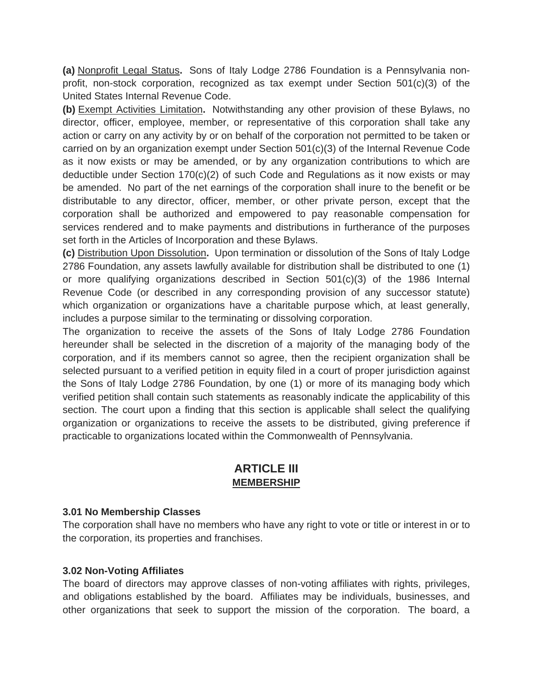**(a)** Nonprofit Legal Status**.** Sons of Italy Lodge 2786 Foundation is a Pennsylvania nonprofit, non-stock corporation, recognized as tax exempt under Section 501(c)(3) of the United States Internal Revenue Code.

**(b)** Exempt Activities Limitation**.** Notwithstanding any other provision of these Bylaws, no director, officer, employee, member, or representative of this corporation shall take any action or carry on any activity by or on behalf of the corporation not permitted to be taken or carried on by an organization exempt under Section 501(c)(3) of the Internal Revenue Code as it now exists or may be amended, or by any organization contributions to which are deductible under Section  $170(c)(2)$  of such Code and Regulations as it now exists or may be amended. No part of the net earnings of the corporation shall inure to the benefit or be distributable to any director, officer, member, or other private person, except that the corporation shall be authorized and empowered to pay reasonable compensation for services rendered and to make payments and distributions in furtherance of the purposes set forth in the Articles of Incorporation and these Bylaws.

**(c)** Distribution Upon Dissolution**.** Upon termination or dissolution of the Sons of Italy Lodge 2786 Foundation, any assets lawfully available for distribution shall be distributed to one (1) or more qualifying organizations described in Section 501(c)(3) of the 1986 Internal Revenue Code (or described in any corresponding provision of any successor statute) which organization or organizations have a charitable purpose which, at least generally, includes a purpose similar to the terminating or dissolving corporation.

The organization to receive the assets of the Sons of Italy Lodge 2786 Foundation hereunder shall be selected in the discretion of a majority of the managing body of the corporation, and if its members cannot so agree, then the recipient organization shall be selected pursuant to a verified petition in equity filed in a court of proper jurisdiction against the Sons of Italy Lodge 2786 Foundation, by one (1) or more of its managing body which verified petition shall contain such statements as reasonably indicate the applicability of this section. The court upon a finding that this section is applicable shall select the qualifying organization or organizations to receive the assets to be distributed, giving preference if practicable to organizations located within the Commonwealth of Pennsylvania.

# **ARTICLE III MEMBERSHIP**

# **3.01 No Membership Classes**

The corporation shall have no members who have any right to vote or title or interest in or to the corporation, its properties and franchises.

#### **3.02 Non-Voting Affiliates**

The board of directors may approve classes of non-voting affiliates with rights, privileges, and obligations established by the board. Affiliates may be individuals, businesses, and other organizations that seek to support the mission of the corporation. The board, a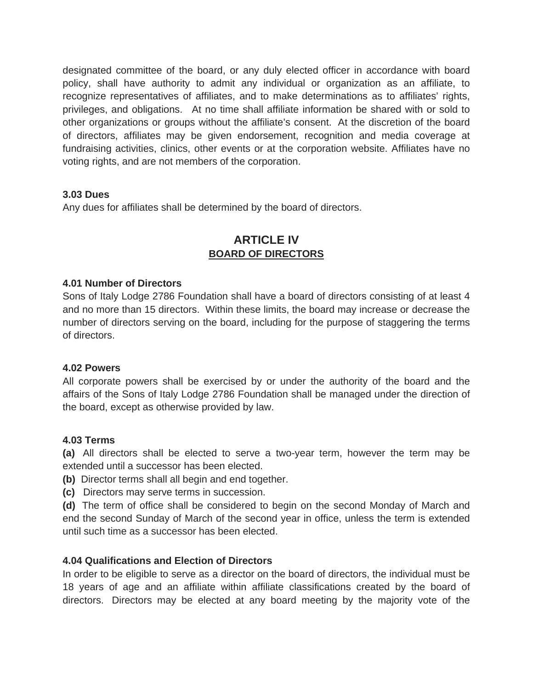designated committee of the board, or any duly elected officer in accordance with board policy, shall have authority to admit any individual or organization as an affiliate, to recognize representatives of affiliates, and to make determinations as to affiliates' rights, privileges, and obligations. At no time shall affiliate information be shared with or sold to other organizations or groups without the affiliate's consent. At the discretion of the board of directors, affiliates may be given endorsement, recognition and media coverage at fundraising activities, clinics, other events or at the corporation website. Affiliates have no voting rights, and are not members of the corporation.

## **3.03 Dues**

Any dues for affiliates shall be determined by the board of directors.

# **ARTICLE IV BOARD OF DIRECTORS**

## **4.01 Number of Directors**

Sons of Italy Lodge 2786 Foundation shall have a board of directors consisting of at least 4 and no more than 15 directors. Within these limits, the board may increase or decrease the number of directors serving on the board, including for the purpose of staggering the terms of directors.

#### **4.02 Powers**

All corporate powers shall be exercised by or under the authority of the board and the affairs of the Sons of Italy Lodge 2786 Foundation shall be managed under the direction of the board, except as otherwise provided by law.

#### **4.03 Terms**

**(a)** All directors shall be elected to serve a two-year term, however the term may be extended until a successor has been elected.

**(b)** Director terms shall all begin and end together.

**(c)** Directors may serve terms in succession.

**(d)** The term of office shall be considered to begin on the second Monday of March and end the second Sunday of March of the second year in office, unless the term is extended until such time as a successor has been elected.

# **4.04 Qualifications and Election of Directors**

In order to be eligible to serve as a director on the board of directors, the individual must be 18 years of age and an affiliate within affiliate classifications created by the board of directors. Directors may be elected at any board meeting by the majority vote of the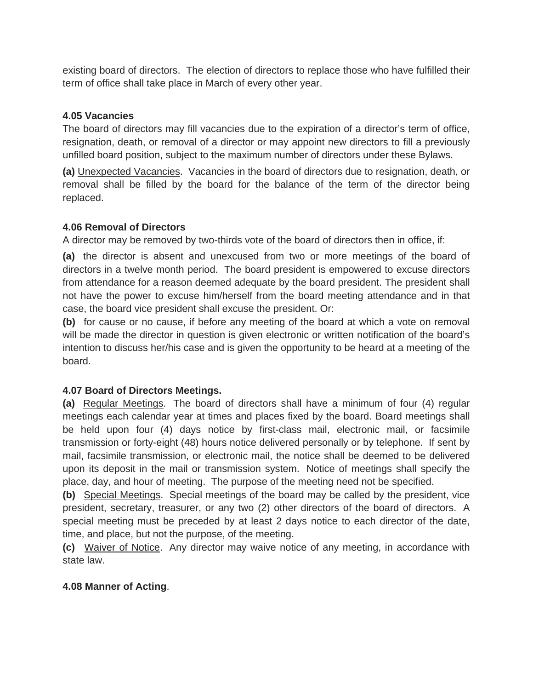existing board of directors. The election of directors to replace those who have fulfilled their term of office shall take place in March of every other year.

## **4.05 Vacancies**

The board of directors may fill vacancies due to the expiration of a director's term of office, resignation, death, or removal of a director or may appoint new directors to fill a previously unfilled board position, subject to the maximum number of directors under these Bylaws.

**(a)** Unexpected Vacancies.Vacancies in the board of directors due to resignation, death, or removal shall be filled by the board for the balance of the term of the director being replaced.

## **4.06 Removal of Directors**

A director may be removed by two-thirds vote of the board of directors then in office, if:

**(a)** the director is absent and unexcused from two or more meetings of the board of directors in a twelve month period. The board president is empowered to excuse directors from attendance for a reason deemed adequate by the board president. The president shall not have the power to excuse him/herself from the board meeting attendance and in that case, the board vice president shall excuse the president. Or:

**(b)** for cause or no cause, if before any meeting of the board at which a vote on removal will be made the director in question is given electronic or written notification of the board's intention to discuss her/his case and is given the opportunity to be heard at a meeting of the board.

# **4.07 Board of Directors Meetings.**

**(a)** Regular Meetings. The board of directors shall have a minimum of four (4) regular meetings each calendar year at times and places fixed by the board. Board meetings shall be held upon four (4) days notice by first-class mail, electronic mail, or facsimile transmission or forty-eight (48) hours notice delivered personally or by telephone. If sent by mail, facsimile transmission, or electronic mail, the notice shall be deemed to be delivered upon its deposit in the mail or transmission system. Notice of meetings shall specify the place, day, and hour of meeting. The purpose of the meeting need not be specified.

**(b)** Special Meetings. Special meetings of the board may be called by the president, vice president, secretary, treasurer, or any two (2) other directors of the board of directors. A special meeting must be preceded by at least 2 days notice to each director of the date, time, and place, but not the purpose, of the meeting.

**(c)** Waiver of Notice. Any director may waive notice of any meeting, in accordance with state law.

# **4.08 Manner of Acting**.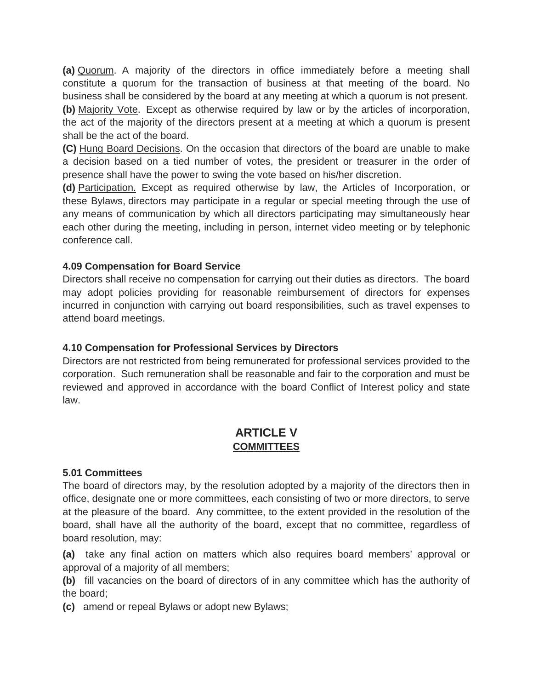**(a)** Quorum. A majority of the directors in office immediately before a meeting shall constitute a quorum for the transaction of business at that meeting of the board. No business shall be considered by the board at any meeting at which a quorum is not present. **(b)** Majority Vote.Except as otherwise required by law or by the articles of incorporation, the act of the majority of the directors present at a meeting at which a quorum is present shall be the act of the board.

**(C)** Hung Board Decisions. On the occasion that directors of the board are unable to make a decision based on a tied number of votes, the president or treasurer in the order of presence shall have the power to swing the vote based on his/her discretion.

**(d)** Participation.Except as required otherwise by law, the Articles of Incorporation, or these Bylaws, directors may participate in a regular or special meeting through the use of any means of communication by which all directors participating may simultaneously hear each other during the meeting, including in person, internet video meeting or by telephonic conference call.

# **4.09 Compensation for Board Service**

Directors shall receive no compensation for carrying out their duties as directors. The board may adopt policies providing for reasonable reimbursement of directors for expenses incurred in conjunction with carrying out board responsibilities, such as travel expenses to attend board meetings.

# **4.10 Compensation for Professional Services by Directors**

Directors are not restricted from being remunerated for professional services provided to the corporation. Such remuneration shall be reasonable and fair to the corporation and must be reviewed and approved in accordance with the board Conflict of Interest policy and state law.

# **ARTICLE V COMMITTEES**

# **5.01 Committees**

The board of directors may, by the resolution adopted by a majority of the directors then in office, designate one or more committees, each consisting of two or more directors, to serve at the pleasure of the board. Any committee, to the extent provided in the resolution of the board, shall have all the authority of the board, except that no committee, regardless of board resolution, may:

**(a)** take any final action on matters which also requires board members' approval or approval of a majority of all members;

**(b)** fill vacancies on the board of directors of in any committee which has the authority of the board;

**(c)** amend or repeal Bylaws or adopt new Bylaws;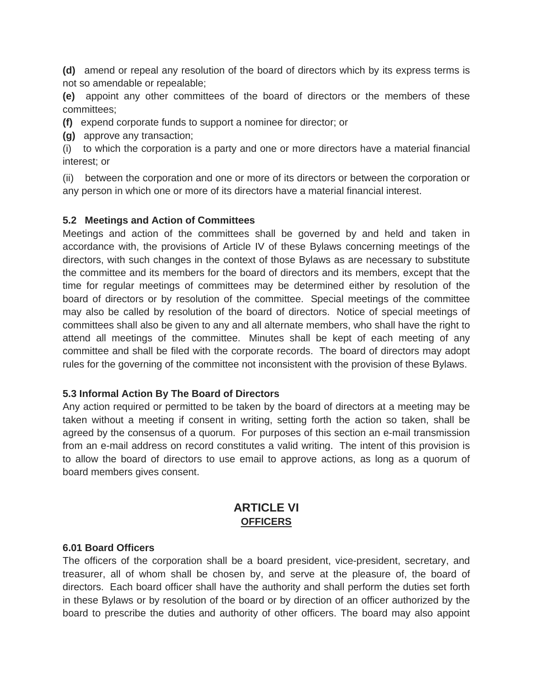**(d)** amend or repeal any resolution of the board of directors which by its express terms is not so amendable or repealable;

**(e)** appoint any other committees of the board of directors or the members of these committees;

**(f)** expend corporate funds to support a nominee for director; or

**(g)** approve any transaction;

(i) to which the corporation is a party and one or more directors have a material financial interest; or

(ii) between the corporation and one or more of its directors or between the corporation or any person in which one or more of its directors have a material financial interest.

## **5.2 Meetings and Action of Committees**

Meetings and action of the committees shall be governed by and held and taken in accordance with, the provisions of Article IV of these Bylaws concerning meetings of the directors, with such changes in the context of those Bylaws as are necessary to substitute the committee and its members for the board of directors and its members, except that the time for regular meetings of committees may be determined either by resolution of the board of directors or by resolution of the committee. Special meetings of the committee may also be called by resolution of the board of directors. Notice of special meetings of committees shall also be given to any and all alternate members, who shall have the right to attend all meetings of the committee. Minutes shall be kept of each meeting of any committee and shall be filed with the corporate records. The board of directors may adopt rules for the governing of the committee not inconsistent with the provision of these Bylaws.

#### **5.3 Informal Action By The Board of Directors**

Any action required or permitted to be taken by the board of directors at a meeting may be taken without a meeting if consent in writing, setting forth the action so taken, shall be agreed by the consensus of a quorum. For purposes of this section an e-mail transmission from an e-mail address on record constitutes a valid writing. The intent of this provision is to allow the board of directors to use email to approve actions, as long as a quorum of board members gives consent.

# **ARTICLE VI OFFICERS**

#### **6.01 Board Officers**

The officers of the corporation shall be a board president, vice-president, secretary, and treasurer, all of whom shall be chosen by, and serve at the pleasure of, the board of directors. Each board officer shall have the authority and shall perform the duties set forth in these Bylaws or by resolution of the board or by direction of an officer authorized by the board to prescribe the duties and authority of other officers. The board may also appoint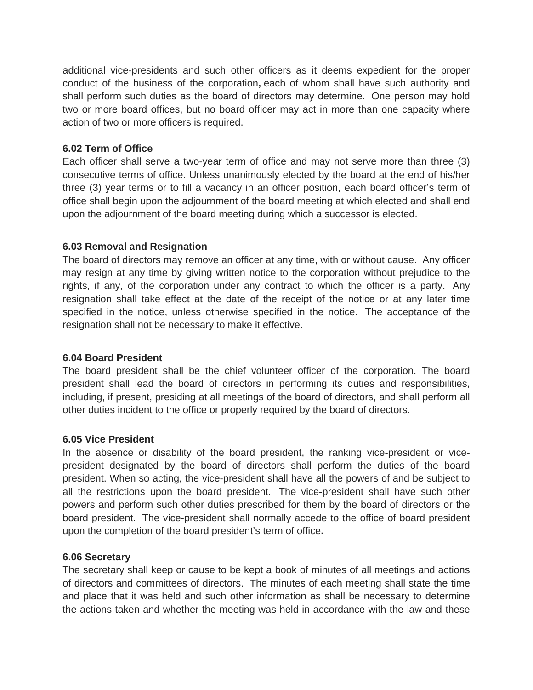additional vice-presidents and such other officers as it deems expedient for the proper conduct of the business of the corporation**,** each of whom shall have such authority and shall perform such duties as the board of directors may determine. One person may hold two or more board offices, but no board officer may act in more than one capacity where action of two or more officers is required.

#### **6.02 Term of Office**

Each officer shall serve a two-year term of office and may not serve more than three (3) consecutive terms of office. Unless unanimously elected by the board at the end of his/her three (3) year terms or to fill a vacancy in an officer position, each board officer's term of office shall begin upon the adjournment of the board meeting at which elected and shall end upon the adjournment of the board meeting during which a successor is elected.

## **6.03 Removal and Resignation**

The board of directors may remove an officer at any time, with or without cause. Any officer may resign at any time by giving written notice to the corporation without prejudice to the rights, if any, of the corporation under any contract to which the officer is a party. Any resignation shall take effect at the date of the receipt of the notice or at any later time specified in the notice, unless otherwise specified in the notice. The acceptance of the resignation shall not be necessary to make it effective.

#### **6.04 Board President**

The board president shall be the chief volunteer officer of the corporation. The board president shall lead the board of directors in performing its duties and responsibilities, including, if present, presiding at all meetings of the board of directors, and shall perform all other duties incident to the office or properly required by the board of directors.

#### **6.05 Vice President**

In the absence or disability of the board president, the ranking vice-president or vicepresident designated by the board of directors shall perform the duties of the board president. When so acting, the vice-president shall have all the powers of and be subject to all the restrictions upon the board president. The vice-president shall have such other powers and perform such other duties prescribed for them by the board of directors or the board president. The vice-president shall normally accede to the office of board president upon the completion of the board president's term of office**.**

#### **6.06 Secretary**

The secretary shall keep or cause to be kept a book of minutes of all meetings and actions of directors and committees of directors. The minutes of each meeting shall state the time and place that it was held and such other information as shall be necessary to determine the actions taken and whether the meeting was held in accordance with the law and these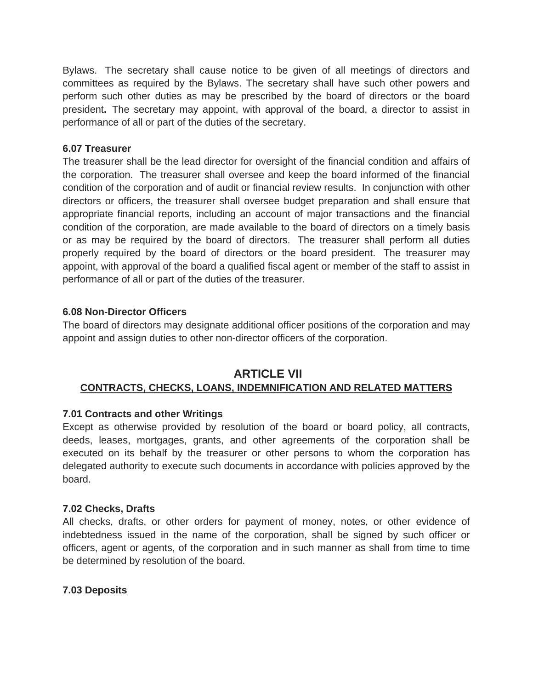Bylaws. The secretary shall cause notice to be given of all meetings of directors and committees as required by the Bylaws. The secretary shall have such other powers and perform such other duties as may be prescribed by the board of directors or the board president**.** The secretary may appoint, with approval of the board, a director to assist in performance of all or part of the duties of the secretary.

### **6.07 Treasurer**

The treasurer shall be the lead director for oversight of the financial condition and affairs of the corporation. The treasurer shall oversee and keep the board informed of the financial condition of the corporation and of audit or financial review results. In conjunction with other directors or officers, the treasurer shall oversee budget preparation and shall ensure that appropriate financial reports, including an account of major transactions and the financial condition of the corporation, are made available to the board of directors on a timely basis or as may be required by the board of directors. The treasurer shall perform all duties properly required by the board of directors or the board president. The treasurer may appoint, with approval of the board a qualified fiscal agent or member of the staff to assist in performance of all or part of the duties of the treasurer.

## **6.08 Non-Director Officers**

The board of directors may designate additional officer positions of the corporation and may appoint and assign duties to other non-director officers of the corporation.

# **ARTICLE VII CONTRACTS, CHECKS, LOANS, INDEMNIFICATION AND RELATED MATTERS**

# **7.01 Contracts and other Writings**

Except as otherwise provided by resolution of the board or board policy, all contracts, deeds, leases, mortgages, grants, and other agreements of the corporation shall be executed on its behalf by the treasurer or other persons to whom the corporation has delegated authority to execute such documents in accordance with policies approved by the board.

#### **7.02 Checks, Drafts**

All checks, drafts, or other orders for payment of money, notes, or other evidence of indebtedness issued in the name of the corporation, shall be signed by such officer or officers, agent or agents, of the corporation and in such manner as shall from time to time be determined by resolution of the board.

#### **7.03 Deposits**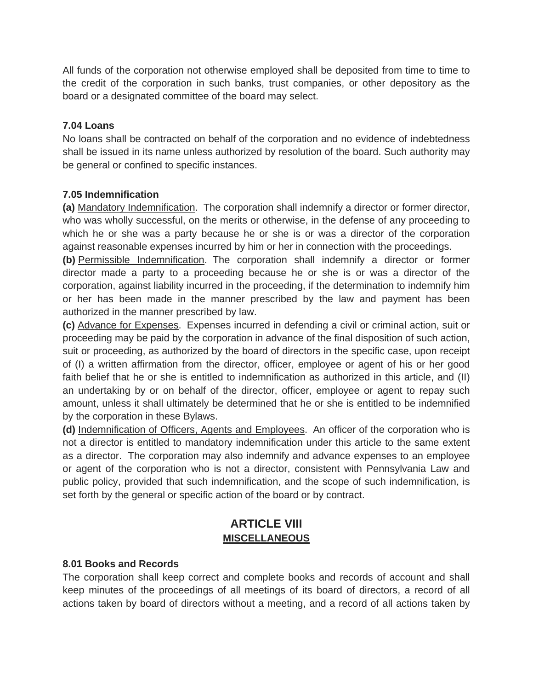All funds of the corporation not otherwise employed shall be deposited from time to time to the credit of the corporation in such banks, trust companies, or other depository as the board or a designated committee of the board may select.

#### **7.04 Loans**

No loans shall be contracted on behalf of the corporation and no evidence of indebtedness shall be issued in its name unless authorized by resolution of the board. Such authority may be general or confined to specific instances.

#### **7.05 Indemnification**

**(a)** Mandatory Indemnification.The corporation shall indemnify a director or former director, who was wholly successful, on the merits or otherwise, in the defense of any proceeding to which he or she was a party because he or she is or was a director of the corporation against reasonable expenses incurred by him or her in connection with the proceedings.

**(b)** Permissible Indemnification.The corporation shall indemnify a director or former director made a party to a proceeding because he or she is or was a director of the corporation, against liability incurred in the proceeding, if the determination to indemnify him or her has been made in the manner prescribed by the law and payment has been authorized in the manner prescribed by law.

**(c)** Advance for Expenses.Expenses incurred in defending a civil or criminal action, suit or proceeding may be paid by the corporation in advance of the final disposition of such action, suit or proceeding, as authorized by the board of directors in the specific case, upon receipt of (I) a written affirmation from the director, officer, employee or agent of his or her good faith belief that he or she is entitled to indemnification as authorized in this article, and (II) an undertaking by or on behalf of the director, officer, employee or agent to repay such amount, unless it shall ultimately be determined that he or she is entitled to be indemnified by the corporation in these Bylaws.

**(d)** Indemnification of Officers, Agents and Employees.An officer of the corporation who is not a director is entitled to mandatory indemnification under this article to the same extent as a director. The corporation may also indemnify and advance expenses to an employee or agent of the corporation who is not a director, consistent with Pennsylvania Law and public policy, provided that such indemnification, and the scope of such indemnification, is set forth by the general or specific action of the board or by contract.

# **ARTICLE VIII MISCELLANEOUS**

#### **8.01 Books and Records**

The corporation shall keep correct and complete books and records of account and shall keep minutes of the proceedings of all meetings of its board of directors, a record of all actions taken by board of directors without a meeting, and a record of all actions taken by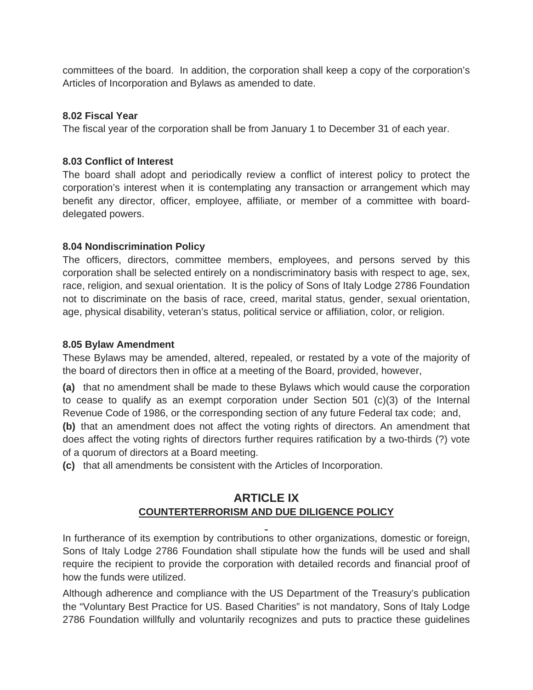committees of the board. In addition, the corporation shall keep a copy of the corporation's Articles of Incorporation and Bylaws as amended to date.

### **8.02 Fiscal Year**

The fiscal year of the corporation shall be from January 1 to December 31 of each year.

## **8.03 Conflict of Interest**

The board shall adopt and periodically review a conflict of interest policy to protect the corporation's interest when it is contemplating any transaction or arrangement which may benefit any director, officer, employee, affiliate, or member of a committee with boarddelegated powers.

## **8.04 Nondiscrimination Policy**

The officers, directors, committee members, employees, and persons served by this corporation shall be selected entirely on a nondiscriminatory basis with respect to age, sex, race, religion, and sexual orientation. It is the policy of Sons of Italy Lodge 2786 Foundation not to discriminate on the basis of race, creed, marital status, gender, sexual orientation, age, physical disability, veteran's status, political service or affiliation, color, or religion.

## **8.05 Bylaw Amendment**

These Bylaws may be amended, altered, repealed, or restated by a vote of the majority of the board of directors then in office at a meeting of the Board, provided, however,

**(a)** that no amendment shall be made to these Bylaws which would cause the corporation to cease to qualify as an exempt corporation under Section  $501$  (c)(3) of the Internal Revenue Code of 1986, or the corresponding section of any future Federal tax code; and,

**(b)** that an amendment does not affect the voting rights of directors. An amendment that does affect the voting rights of directors further requires ratification by a two-thirds (?) vote of a quorum of directors at a Board meeting.

**(c)** that all amendments be consistent with the Articles of Incorporation.

# **ARTICLE IX COUNTERTERRORISM AND DUE DILIGENCE POLICY**

In furtherance of its exemption by contributions to other organizations, domestic or foreign, Sons of Italy Lodge 2786 Foundation shall stipulate how the funds will be used and shall require the recipient to provide the corporation with detailed records and financial proof of how the funds were utilized.

Although adherence and compliance with the US Department of the Treasury's publication the "Voluntary Best Practice for US. Based Charities" is not mandatory, Sons of Italy Lodge 2786 Foundation willfully and voluntarily recognizes and puts to practice these guidelines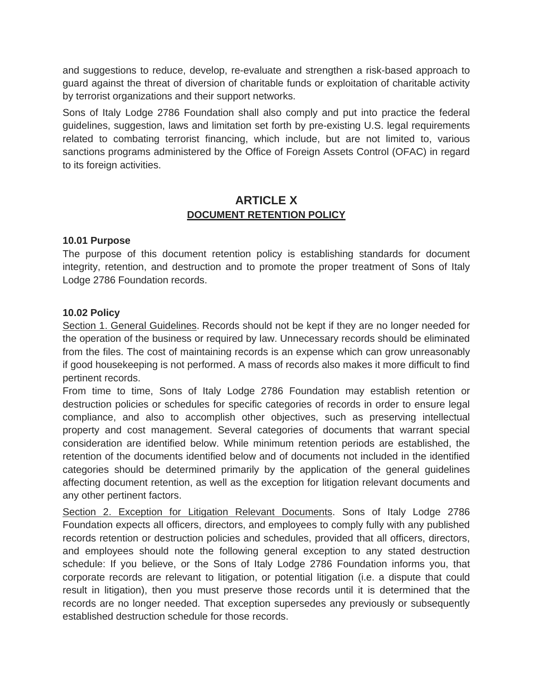and suggestions to reduce, develop, re-evaluate and strengthen a risk-based approach to guard against the threat of diversion of charitable funds or exploitation of charitable activity by terrorist organizations and their support networks.

Sons of Italy Lodge 2786 Foundation shall also comply and put into practice the federal guidelines, suggestion, laws and limitation set forth by pre-existing U.S. legal requirements related to combating terrorist financing, which include, but are not limited to, various sanctions programs administered by the Office of Foreign Assets Control (OFAC) in regard to its foreign activities.

# **ARTICLE X DOCUMENT RETENTION POLICY**

## **10.01 Purpose**

The purpose of this document retention policy is establishing standards for document integrity, retention, and destruction and to promote the proper treatment of Sons of Italy Lodge 2786 Foundation records.

## **10.02 Policy**

Section 1. General Guidelines. Records should not be kept if they are no longer needed for the operation of the business or required by law. Unnecessary records should be eliminated from the files. The cost of maintaining records is an expense which can grow unreasonably if good housekeeping is not performed. A mass of records also makes it more difficult to find pertinent records.

From time to time, Sons of Italy Lodge 2786 Foundation may establish retention or destruction policies or schedules for specific categories of records in order to ensure legal compliance, and also to accomplish other objectives, such as preserving intellectual property and cost management. Several categories of documents that warrant special consideration are identified below. While minimum retention periods are established, the retention of the documents identified below and of documents not included in the identified categories should be determined primarily by the application of the general guidelines affecting document retention, as well as the exception for litigation relevant documents and any other pertinent factors.

Section 2. Exception for Litigation Relevant Documents. Sons of Italy Lodge 2786 Foundation expects all officers, directors, and employees to comply fully with any published records retention or destruction policies and schedules, provided that all officers, directors, and employees should note the following general exception to any stated destruction schedule: If you believe, or the Sons of Italy Lodge 2786 Foundation informs you, that corporate records are relevant to litigation, or potential litigation (i.e. a dispute that could result in litigation), then you must preserve those records until it is determined that the records are no longer needed. That exception supersedes any previously or subsequently established destruction schedule for those records.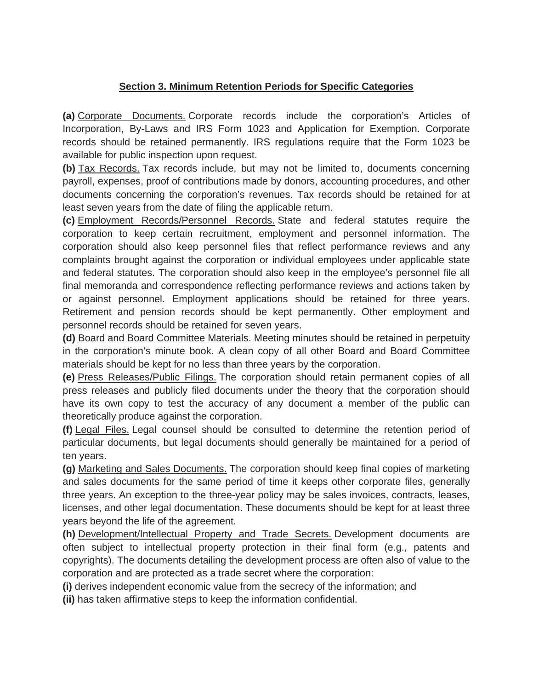# **Section 3. Minimum Retention Periods for Specific Categories**

**(a)** Corporate Documents. Corporate records include the corporation's Articles of Incorporation, By-Laws and IRS Form 1023 and Application for Exemption. Corporate records should be retained permanently. IRS regulations require that the Form 1023 be available for public inspection upon request.

**(b)** Tax Records. Tax records include, but may not be limited to, documents concerning payroll, expenses, proof of contributions made by donors, accounting procedures, and other documents concerning the corporation's revenues. Tax records should be retained for at least seven years from the date of filing the applicable return.

**(c)** Employment Records/Personnel Records. State and federal statutes require the corporation to keep certain recruitment, employment and personnel information. The corporation should also keep personnel files that reflect performance reviews and any complaints brought against the corporation or individual employees under applicable state and federal statutes. The corporation should also keep in the employee's personnel file all final memoranda and correspondence reflecting performance reviews and actions taken by or against personnel. Employment applications should be retained for three years. Retirement and pension records should be kept permanently. Other employment and personnel records should be retained for seven years.

**(d)** Board and Board Committee Materials. Meeting minutes should be retained in perpetuity in the corporation's minute book. A clean copy of all other Board and Board Committee materials should be kept for no less than three years by the corporation.

**(e)** Press Releases/Public Filings. The corporation should retain permanent copies of all press releases and publicly filed documents under the theory that the corporation should have its own copy to test the accuracy of any document a member of the public can theoretically produce against the corporation.

**(f)** Legal Files. Legal counsel should be consulted to determine the retention period of particular documents, but legal documents should generally be maintained for a period of ten years.

**(g)** Marketing and Sales Documents. The corporation should keep final copies of marketing and sales documents for the same period of time it keeps other corporate files, generally three years. An exception to the three-year policy may be sales invoices, contracts, leases, licenses, and other legal documentation. These documents should be kept for at least three years beyond the life of the agreement.

**(h)** Development/Intellectual Property and Trade Secrets. Development documents are often subject to intellectual property protection in their final form (e.g., patents and copyrights). The documents detailing the development process are often also of value to the corporation and are protected as a trade secret where the corporation:

**(i)** derives independent economic value from the secrecy of the information; and

**(ii)** has taken affirmative steps to keep the information confidential.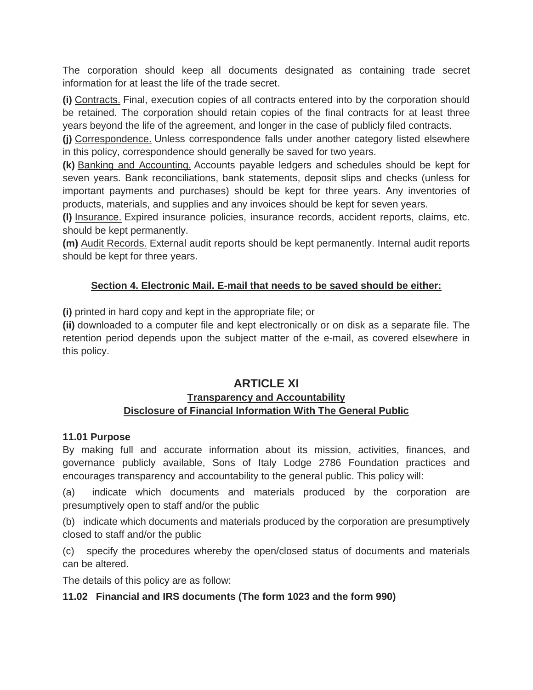The corporation should keep all documents designated as containing trade secret information for at least the life of the trade secret.

**(i)** Contracts. Final, execution copies of all contracts entered into by the corporation should be retained. The corporation should retain copies of the final contracts for at least three years beyond the life of the agreement, and longer in the case of publicly filed contracts.

**(j)** Correspondence. Unless correspondence falls under another category listed elsewhere in this policy, correspondence should generally be saved for two years.

**(k)** Banking and Accounting. Accounts payable ledgers and schedules should be kept for seven years. Bank reconciliations, bank statements, deposit slips and checks (unless for important payments and purchases) should be kept for three years. Any inventories of products, materials, and supplies and any invoices should be kept for seven years.

**(l)** Insurance. Expired insurance policies, insurance records, accident reports, claims, etc. should be kept permanently.

**(m)** Audit Records. External audit reports should be kept permanently. Internal audit reports should be kept for three years.

# **Section 4. Electronic Mail. E-mail that needs to be saved should be either:**

**(i)** printed in hard copy and kept in the appropriate file; or

**(ii)** downloaded to a computer file and kept electronically or on disk as a separate file. The retention period depends upon the subject matter of the e-mail, as covered elsewhere in this policy.

# **ARTICLE XI Transparency and Accountability Disclosure of Financial Information With The General Public**

# **11.01 Purpose**

By making full and accurate information about its mission, activities, finances, and governance publicly available, Sons of Italy Lodge 2786 Foundation practices and encourages transparency and accountability to the general public. This policy will:

(a) indicate which documents and materials produced by the corporation are presumptively open to staff and/or the public

(b) indicate which documents and materials produced by the corporation are presumptively closed to staff and/or the public

(c) specify the procedures whereby the open/closed status of documents and materials can be altered.

The details of this policy are as follow:

# **11.02 Financial and IRS documents (The form 1023 and the form 990)**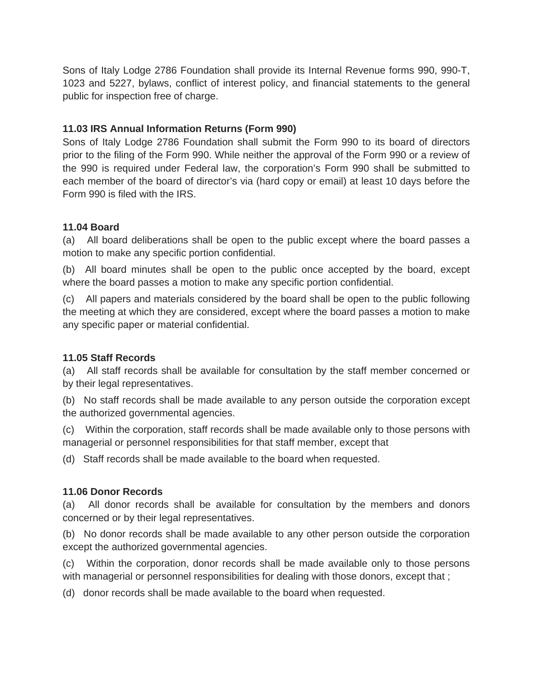Sons of Italy Lodge 2786 Foundation shall provide its Internal Revenue forms 990, 990-T, 1023 and 5227, bylaws, conflict of interest policy, and financial statements to the general public for inspection free of charge.

## **11.03 IRS Annual Information Returns (Form 990)**

Sons of Italy Lodge 2786 Foundation shall submit the Form 990 to its board of directors prior to the filing of the Form 990. While neither the approval of the Form 990 or a review of the 990 is required under Federal law, the corporation's Form 990 shall be submitted to each member of the board of director's via (hard copy or email) at least 10 days before the Form 990 is filed with the IRS.

#### **11.04 Board**

(a) All board deliberations shall be open to the public except where the board passes a motion to make any specific portion confidential.

(b) All board minutes shall be open to the public once accepted by the board, except where the board passes a motion to make any specific portion confidential.

(c) All papers and materials considered by the board shall be open to the public following the meeting at which they are considered, except where the board passes a motion to make any specific paper or material confidential.

# **11.05 Staff Records**

(a) All staff records shall be available for consultation by the staff member concerned or by their legal representatives.

(b) No staff records shall be made available to any person outside the corporation except the authorized governmental agencies.

(c) Within the corporation, staff records shall be made available only to those persons with managerial or personnel responsibilities for that staff member, except that

(d) Staff records shall be made available to the board when requested.

# **11.06 Donor Records**

(a) All donor records shall be available for consultation by the members and donors concerned or by their legal representatives.

(b) No donor records shall be made available to any other person outside the corporation except the authorized governmental agencies.

(c) Within the corporation, donor records shall be made available only to those persons with managerial or personnel responsibilities for dealing with those donors, except that ;

(d) donor records shall be made available to the board when requested.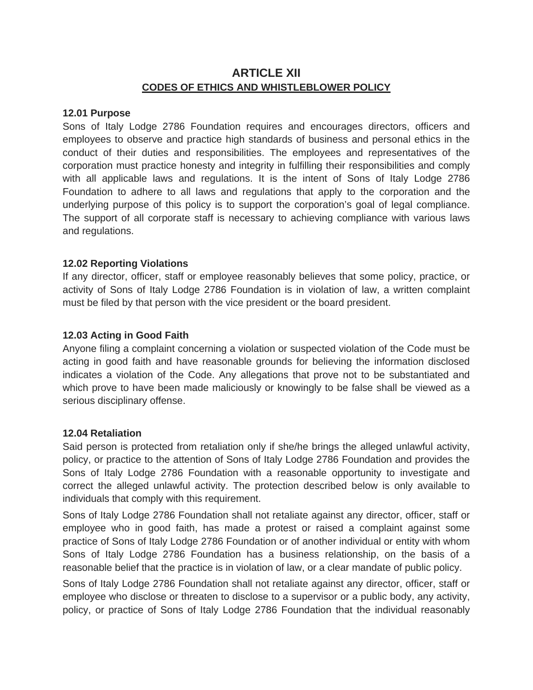# **ARTICLE XII CODES OF ETHICS AND WHISTLEBLOWER POLICY**

#### **12.01 Purpose**

Sons of Italy Lodge 2786 Foundation requires and encourages directors, officers and employees to observe and practice high standards of business and personal ethics in the conduct of their duties and responsibilities. The employees and representatives of the corporation must practice honesty and integrity in fulfilling their responsibilities and comply with all applicable laws and regulations. It is the intent of Sons of Italy Lodge 2786 Foundation to adhere to all laws and regulations that apply to the corporation and the underlying purpose of this policy is to support the corporation's goal of legal compliance. The support of all corporate staff is necessary to achieving compliance with various laws and regulations.

## **12.02 Reporting Violations**

If any director, officer, staff or employee reasonably believes that some policy, practice, or activity of Sons of Italy Lodge 2786 Foundation is in violation of law, a written complaint must be filed by that person with the vice president or the board president.

## **12.03 Acting in Good Faith**

Anyone filing a complaint concerning a violation or suspected violation of the Code must be acting in good faith and have reasonable grounds for believing the information disclosed indicates a violation of the Code. Any allegations that prove not to be substantiated and which prove to have been made maliciously or knowingly to be false shall be viewed as a serious disciplinary offense.

#### **12.04 Retaliation**

Said person is protected from retaliation only if she/he brings the alleged unlawful activity, policy, or practice to the attention of Sons of Italy Lodge 2786 Foundation and provides the Sons of Italy Lodge 2786 Foundation with a reasonable opportunity to investigate and correct the alleged unlawful activity. The protection described below is only available to individuals that comply with this requirement.

Sons of Italy Lodge 2786 Foundation shall not retaliate against any director, officer, staff or employee who in good faith, has made a protest or raised a complaint against some practice of Sons of Italy Lodge 2786 Foundation or of another individual or entity with whom Sons of Italy Lodge 2786 Foundation has a business relationship, on the basis of a reasonable belief that the practice is in violation of law, or a clear mandate of public policy.

Sons of Italy Lodge 2786 Foundation shall not retaliate against any director, officer, staff or employee who disclose or threaten to disclose to a supervisor or a public body, any activity, policy, or practice of Sons of Italy Lodge 2786 Foundation that the individual reasonably